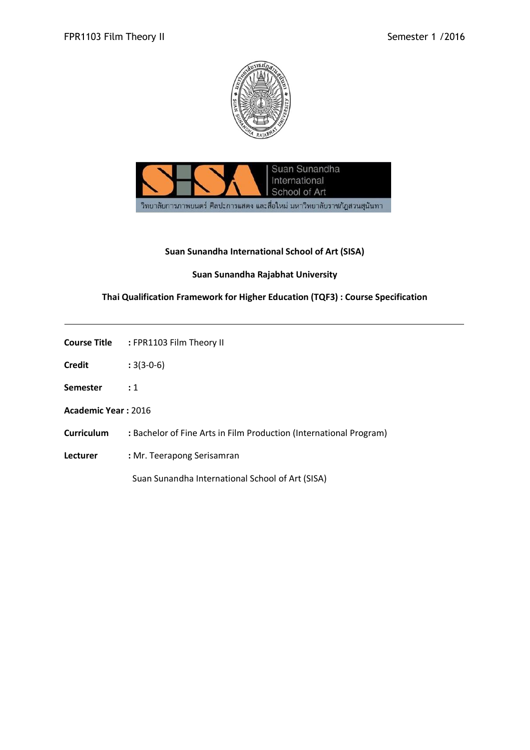



## **Suan Sunandha International School of Art (SISA)**

# **Suan Sunandha Rajabhat University**

## **Thai Qualification Framework for Higher Education (TQF3) : Course Specification**

|                   | <b>Course Title : FPR1103 Film Theory II</b>                       |  |  |  |
|-------------------|--------------------------------------------------------------------|--|--|--|
| <b>Credit</b>     | $:3(3-0-6)$                                                        |  |  |  |
| Semester          | $\cdot$ 1                                                          |  |  |  |
|                   | Academic Year: 2016                                                |  |  |  |
| <b>Curriculum</b> | : Bachelor of Fine Arts in Film Production (International Program) |  |  |  |
| Lecturer          | : Mr. Teerapong Serisamran                                         |  |  |  |
|                   | Suan Sunandha International School of Art (SISA)                   |  |  |  |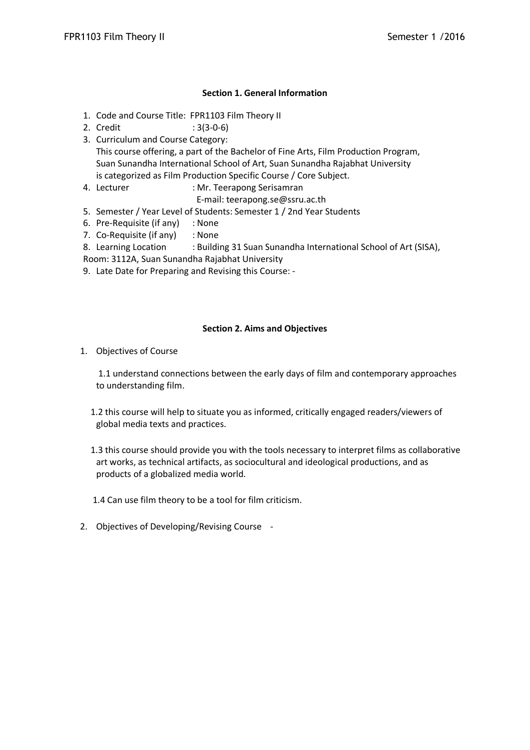### **Section 1. General Information**

- 1. Code and Course Title: FPR1103 Film Theory II
- 2. Credit : 3(3-0-6)
- 3. Curriculum and Course Category: This course offering, a part of the Bachelor of Fine Arts, Film Production Program, Suan Sunandha International School of Art, Suan Sunandha Rajabhat University is categorized as Film Production Specific Course / Core Subject.
- 4. Lecturer : Mr. Teerapong Serisamran
	- E-mail: teerapong.se@ssru.ac.th
- 5. Semester / Year Level of Students: Semester 1 / 2nd Year Students
- 6. Pre-Requisite (if any) : None
- 7. Co-Requisite (if any) : None
- 8. Learning Location : Building 31 Suan Sunandha International School of Art (SISA),
- Room: 3112A, Suan Sunandha Rajabhat University
- 9. Late Date for Preparing and Revising this Course: -

#### **Section 2. Aims and Objectives**

1. Objectives of Course

1.1 understand connections between the early days of film and contemporary approaches to understanding film.

- 1.2 this course will help to situate you as informed, critically engaged readers/viewers of global media texts and practices.
- 1.3 this course should provide you with the tools necessary to interpret films as collaborative art works, as technical artifacts, as sociocultural and ideological productions, and as products of a globalized media world.

1.4 Can use film theory to be a tool for film criticism.

2. Objectives of Developing/Revising Course -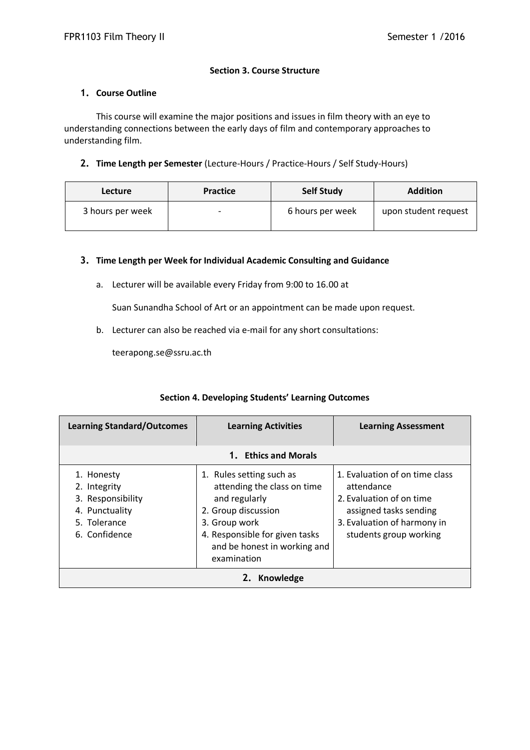## **Section 3. Course Structure**

#### **1. Course Outline**

This course will examine the major positions and issues in film theory with an eye to understanding connections between the early days of film and contemporary approaches to understanding film.

## **2. Time Length per Semester** (Lecture-Hours / Practice-Hours / Self Study-Hours)

| Lecture          | <b>Practice</b>          | <b>Self Study</b> | <b>Addition</b>      |
|------------------|--------------------------|-------------------|----------------------|
| 3 hours per week | $\overline{\phantom{0}}$ | 6 hours per week  | upon student request |

### **3. Time Length per Week for Individual Academic Consulting and Guidance**

a. Lecturer will be available every Friday from 9:00 to 16.00 at

Suan Sunandha School of Art or an appointment can be made upon request.

b. Lecturer can also be reached via e-mail for any short consultations:

teerapong.se@ssru.ac.th

| <b>Learning Standard/Outcomes</b>                                                                  | <b>Learning Activities</b>                                                                                                                                                                        | <b>Learning Assessment</b>                                                                                                                                  |  |
|----------------------------------------------------------------------------------------------------|---------------------------------------------------------------------------------------------------------------------------------------------------------------------------------------------------|-------------------------------------------------------------------------------------------------------------------------------------------------------------|--|
|                                                                                                    |                                                                                                                                                                                                   |                                                                                                                                                             |  |
| 1. Honesty<br>2. Integrity<br>3. Responsibility<br>4. Punctuality<br>5. Tolerance<br>6. Confidence | 1. Rules setting such as<br>attending the class on time<br>and regularly<br>2. Group discussion<br>3. Group work<br>4. Responsible for given tasks<br>and be honest in working and<br>examination | 1. Evaluation of on time class<br>attendance<br>2. Evaluation of on time<br>assigned tasks sending<br>3. Evaluation of harmony in<br>students group working |  |
| Knowledge                                                                                          |                                                                                                                                                                                                   |                                                                                                                                                             |  |

## **Section 4. Developing Students' Learning Outcomes**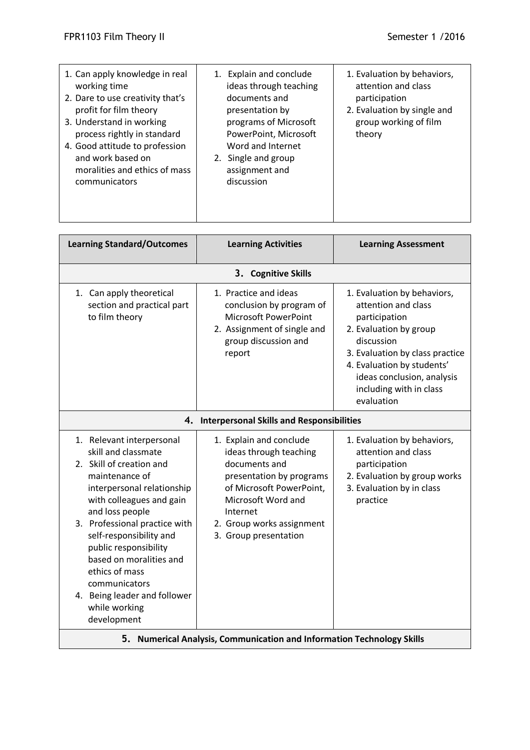| 1. Can apply knowledge in real<br>working time<br>2. Dare to use creativity that's<br>profit for film theory<br>3. Understand in working<br>process rightly in standard<br>4. Good attitude to profession<br>and work based on<br>moralities and ethics of mass<br>communicators | Explain and conclude<br>1.<br>ideas through teaching<br>documents and<br>presentation by<br>programs of Microsoft<br>PowerPoint, Microsoft<br>Word and Internet<br>2. Single and group<br>assignment and<br>discussion | 1. Evaluation by behaviors,<br>attention and class<br>participation<br>2. Evaluation by single and<br>group working of film<br>theory |
|----------------------------------------------------------------------------------------------------------------------------------------------------------------------------------------------------------------------------------------------------------------------------------|------------------------------------------------------------------------------------------------------------------------------------------------------------------------------------------------------------------------|---------------------------------------------------------------------------------------------------------------------------------------|
|                                                                                                                                                                                                                                                                                  |                                                                                                                                                                                                                        |                                                                                                                                       |
| <b>Learning Standard/Outcomes</b>                                                                                                                                                                                                                                                | <b>Learning Activities</b>                                                                                                                                                                                             | <b>Learning Assessment</b>                                                                                                            |
|                                                                                                                                                                                                                                                                                  | <b>Cognitive Skills</b><br>3.                                                                                                                                                                                          |                                                                                                                                       |
| 1. Can apply theoretical<br>section and practical part<br>to film theory                                                                                                                                                                                                         | 1. Practice and ideas<br>conclusion by program of<br><b>Microsoft PowerPoint</b><br>2 Accignment of single and                                                                                                         | 1. Evaluation by behaviors,<br>attention and class<br>participation<br>2. Evaluation by group                                         |

| <b>Learning Standard/Outcomes</b>                                                                                                                                                                                                                                                                                                                                                              | <b>Learning Activities</b>                                                                                                                                                                                         | <b>Learning Assessment</b>                                                                                                                                                                                                                          |  |  |
|------------------------------------------------------------------------------------------------------------------------------------------------------------------------------------------------------------------------------------------------------------------------------------------------------------------------------------------------------------------------------------------------|--------------------------------------------------------------------------------------------------------------------------------------------------------------------------------------------------------------------|-----------------------------------------------------------------------------------------------------------------------------------------------------------------------------------------------------------------------------------------------------|--|--|
| 3. Cognitive Skills                                                                                                                                                                                                                                                                                                                                                                            |                                                                                                                                                                                                                    |                                                                                                                                                                                                                                                     |  |  |
| 1. Can apply theoretical<br>section and practical part<br>to film theory                                                                                                                                                                                                                                                                                                                       | 1. Practice and ideas<br>conclusion by program of<br><b>Microsoft PowerPoint</b><br>2. Assignment of single and<br>group discussion and<br>report                                                                  | 1. Evaluation by behaviors,<br>attention and class<br>participation<br>2. Evaluation by group<br>discussion<br>3. Evaluation by class practice<br>4. Evaluation by students'<br>ideas conclusion, analysis<br>including with in class<br>evaluation |  |  |
|                                                                                                                                                                                                                                                                                                                                                                                                | 4. Interpersonal Skills and Responsibilities                                                                                                                                                                       |                                                                                                                                                                                                                                                     |  |  |
| 1. Relevant interpersonal<br>skill and classmate<br>2. Skill of creation and<br>maintenance of<br>interpersonal relationship<br>with colleagues and gain<br>and loss people<br>3. Professional practice with<br>self-responsibility and<br>public responsibility<br>based on moralities and<br>ethics of mass<br>communicators<br>4. Being leader and follower<br>while working<br>development | 1. Explain and conclude<br>ideas through teaching<br>documents and<br>presentation by programs<br>of Microsoft PowerPoint,<br>Microsoft Word and<br>Internet<br>2. Group works assignment<br>3. Group presentation | 1. Evaluation by behaviors,<br>attention and class<br>participation<br>2. Evaluation by group works<br>3. Evaluation by in class<br>practice                                                                                                        |  |  |
| 5. Numerical Analysis, Communication and Information Technology Skills                                                                                                                                                                                                                                                                                                                         |                                                                                                                                                                                                                    |                                                                                                                                                                                                                                                     |  |  |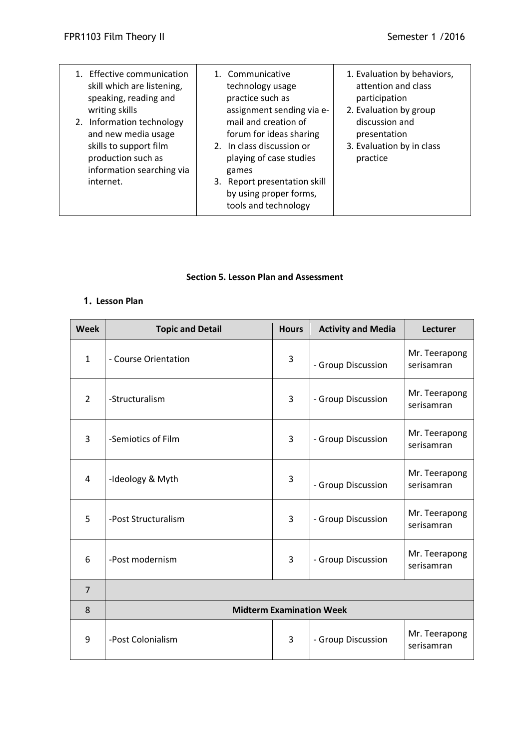| 1. Effective communication<br>skill which are listening,<br>speaking, reading and<br>writing skills<br>2. Information technology<br>and new media usage<br>skills to support film<br>production such as<br>information searching via<br>internet. | 1. Communicative<br>technology usage<br>practice such as<br>assignment sending via e-<br>mail and creation of<br>forum for ideas sharing<br>2. In class discussion or<br>playing of case studies<br>games<br>3. Report presentation skill<br>by using proper forms, | 1. Evaluation by behaviors,<br>attention and class<br>participation<br>2. Evaluation by group<br>discussion and<br>presentation<br>3. Evaluation by in class<br>practice |
|---------------------------------------------------------------------------------------------------------------------------------------------------------------------------------------------------------------------------------------------------|---------------------------------------------------------------------------------------------------------------------------------------------------------------------------------------------------------------------------------------------------------------------|--------------------------------------------------------------------------------------------------------------------------------------------------------------------------|
|                                                                                                                                                                                                                                                   | tools and technology                                                                                                                                                                                                                                                |                                                                                                                                                                          |

#### **Section 5. Lesson Plan and Assessment**

# **1. Lesson Plan**

| <b>Week</b>    | <b>Topic and Detail</b>         | <b>Hours</b>   | <b>Activity and Media</b> | <b>Lecturer</b>             |
|----------------|---------------------------------|----------------|---------------------------|-----------------------------|
| $\mathbf{1}$   | - Course Orientation            | 3              | - Group Discussion        | Mr. Teerapong<br>serisamran |
| $\overline{2}$ | -Structuralism                  | $\overline{3}$ | - Group Discussion        | Mr. Teerapong<br>serisamran |
| $\overline{3}$ | -Semiotics of Film              | 3              | - Group Discussion        | Mr. Teerapong<br>serisamran |
| $\overline{4}$ | -Ideology & Myth                | 3              | - Group Discussion        | Mr. Teerapong<br>serisamran |
| 5              | -Post Structuralism             | 3              | - Group Discussion        | Mr. Teerapong<br>serisamran |
| 6              | -Post modernism                 | 3              | - Group Discussion        | Mr. Teerapong<br>serisamran |
| $\overline{7}$ |                                 |                |                           |                             |
| 8              | <b>Midterm Examination Week</b> |                |                           |                             |
| 9              | -Post Colonialism               | 3              | - Group Discussion        | Mr. Teerapong<br>serisamran |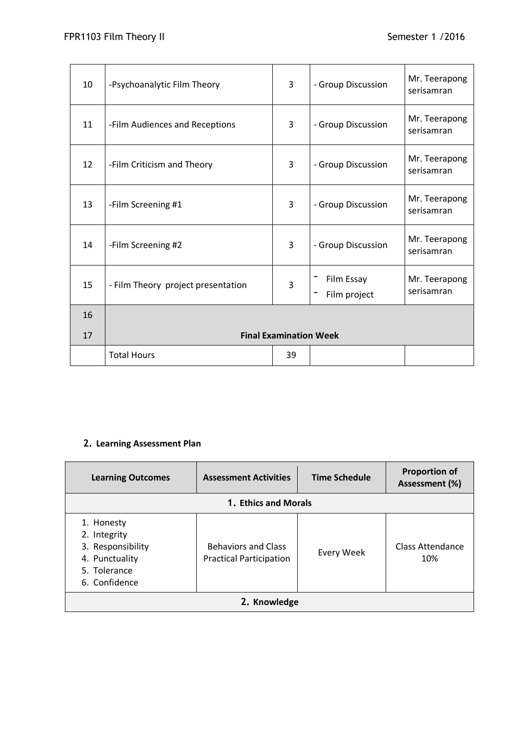| 10 | -Psychoanalytic Film Theory        | 3                             | - Group Discussion         | Mr. Teerapong<br>serisamran |
|----|------------------------------------|-------------------------------|----------------------------|-----------------------------|
| 11 | -Film Audiences and Receptions     | 3                             | - Group Discussion         | Mr. Teerapong<br>serisamran |
| 12 | -Film Criticism and Theory         | 3                             | - Group Discussion         | Mr. Teerapong<br>serisamran |
| 13 | -Film Screening #1                 | 3                             | - Group Discussion         | Mr. Teerapong<br>serisamran |
| 14 | -Film Screening #2                 | 3                             | - Group Discussion         | Mr. Teerapong<br>serisamran |
| 15 | - Film Theory project presentation | 3                             | Film Essay<br>Film project | Mr. Teerapong<br>serisamran |
| 16 |                                    |                               |                            |                             |
| 17 |                                    | <b>Final Examination Week</b> |                            |                             |
|    | <b>Total Hours</b>                 | 39                            |                            |                             |

# **2. Learning Assessment Plan**

| <b>Learning Outcomes</b>                                                                           | <b>Assessment Activities</b>                                 | <b>Time Schedule</b> | <b>Proportion of</b><br>Assessment (%) |
|----------------------------------------------------------------------------------------------------|--------------------------------------------------------------|----------------------|----------------------------------------|
| 1. Ethics and Morals                                                                               |                                                              |                      |                                        |
| 1. Honesty<br>2. Integrity<br>3. Responsibility<br>4. Punctuality<br>5. Tolerance<br>6. Confidence | <b>Behaviors and Class</b><br><b>Practical Participation</b> | Every Week           | Class Attendance<br>10%                |
| 2. Knowledge                                                                                       |                                                              |                      |                                        |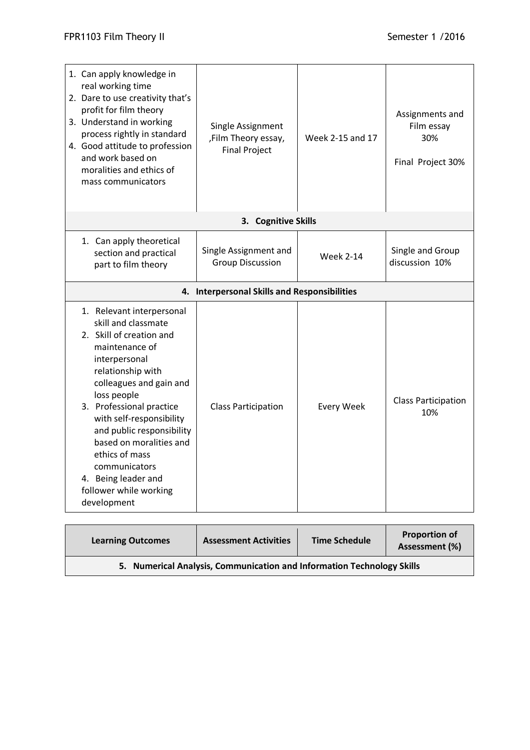| 1. Can apply knowledge in<br>real working time<br>2. Dare to use creativity that's<br>profit for film theory<br>3. Understand in working<br>process rightly in standard<br>4. Good attitude to profession<br>and work based on<br>moralities and ethics of<br>mass communicators                                                                                                                  | Single Assignment<br>,Film Theory essay,<br><b>Final Project</b> | Week 2-15 and 17  | Assignments and<br>Film essay<br>30%<br>Final Project 30% |
|---------------------------------------------------------------------------------------------------------------------------------------------------------------------------------------------------------------------------------------------------------------------------------------------------------------------------------------------------------------------------------------------------|------------------------------------------------------------------|-------------------|-----------------------------------------------------------|
|                                                                                                                                                                                                                                                                                                                                                                                                   | 3. Cognitive Skills                                              |                   |                                                           |
| 1. Can apply theoretical<br>section and practical<br>part to film theory                                                                                                                                                                                                                                                                                                                          | Single Assignment and<br><b>Group Discussion</b>                 | <b>Week 2-14</b>  | Single and Group<br>discussion 10%                        |
|                                                                                                                                                                                                                                                                                                                                                                                                   | 4. Interpersonal Skills and Responsibilities                     |                   |                                                           |
| 1. Relevant interpersonal<br>skill and classmate<br>2. Skill of creation and<br>maintenance of<br>interpersonal<br>relationship with<br>colleagues and gain and<br>loss people<br>3. Professional practice<br>with self-responsibility<br>and public responsibility<br>based on moralities and<br>ethics of mass<br>communicators<br>4. Being leader and<br>follower while working<br>development | <b>Class Participation</b>                                       | <b>Every Week</b> | <b>Class Participation</b><br>10%                         |

| <b>Learning Outcomes</b>                                               | <b>Assessment Activities</b> | <b>Time Schedule</b> | <b>Proportion of</b><br>Assessment (%) |
|------------------------------------------------------------------------|------------------------------|----------------------|----------------------------------------|
| 5. Numerical Analysis, Communication and Information Technology Skills |                              |                      |                                        |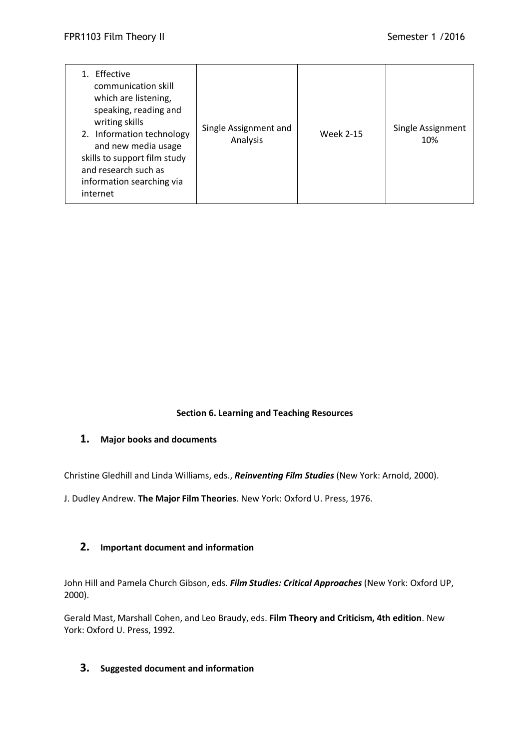| Effective<br>communication skill<br>which are listening,<br>speaking, reading and<br>writing skills<br>2. Information technology<br>and new media usage<br>skills to support film study<br>and research such as<br>information searching via<br>internet | Single Assignment and<br>Analysis | <b>Week 2-15</b> | Single Assignment<br>10% |
|----------------------------------------------------------------------------------------------------------------------------------------------------------------------------------------------------------------------------------------------------------|-----------------------------------|------------------|--------------------------|
|----------------------------------------------------------------------------------------------------------------------------------------------------------------------------------------------------------------------------------------------------------|-----------------------------------|------------------|--------------------------|

#### **Section 6. Learning and Teaching Resources**

#### **1. Major books and documents**

Christine Gledhill and Linda Williams, eds., *Reinventing Film Studies* (New York: Arnold, 2000).

J. Dudley Andrew. **The Major Film Theories**. New York: Oxford U. Press, 1976.

## **2. Important document and information**

John Hill and Pamela Church Gibson, eds. *Film Studies: Critical Approaches* (New York: Oxford UP, 2000).

Gerald Mast, Marshall Cohen, and Leo Braudy, eds. **Film Theory and Criticism, 4th edition**. New York: Oxford U. Press, 1992.

## **3. Suggested document and information**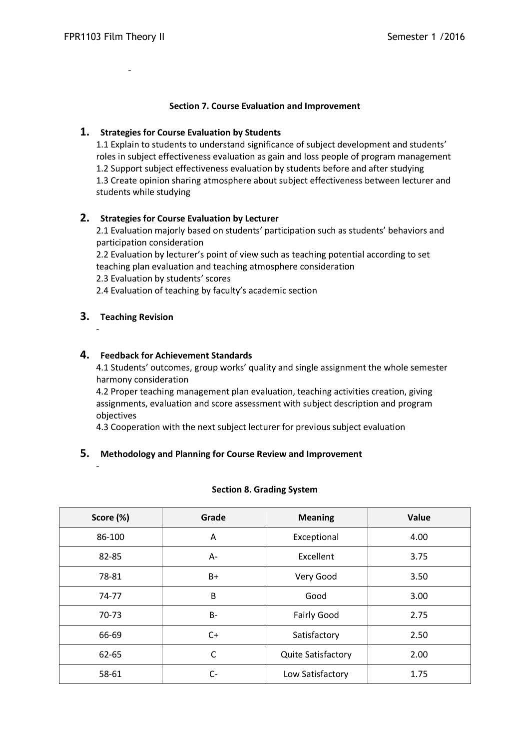-

## **Section 7. Course Evaluation and Improvement**

## **1. Strategies for Course Evaluation by Students**

1.1 Explain to students to understand significance of subject development and students' roles in subject effectiveness evaluation as gain and loss people of program management 1.2 Support subject effectiveness evaluation by students before and after studying 1.3 Create opinion sharing atmosphere about subject effectiveness between lecturer and students while studying

## **2. Strategies for Course Evaluation by Lecturer**

2.1 Evaluation majorly based on students' participation such as students' behaviors and participation consideration

2.2 Evaluation by lecturer's point of view such as teaching potential according to set teaching plan evaluation and teaching atmosphere consideration

2.3 Evaluation by students' scores

2.4 Evaluation of teaching by faculty's academic section

## **3. Teaching Revision**

-

-

### **4. Feedback for Achievement Standards**

4.1 Students' outcomes, group works' quality and single assignment the whole semester harmony consideration

4.2 Proper teaching management plan evaluation, teaching activities creation, giving assignments, evaluation and score assessment with subject description and program objectives

4.3 Cooperation with the next subject lecturer for previous subject evaluation

## **5. Methodology and Planning for Course Review and Improvement**

| Score (%) | Grade | <b>Meaning</b>            | Value |
|-----------|-------|---------------------------|-------|
| 86-100    | Α     | Exceptional               | 4.00  |
| 82-85     | $A -$ | Excellent                 | 3.75  |
| 78-81     | $B+$  | Very Good                 | 3.50  |
| 74-77     | B     | Good                      | 3.00  |
| 70-73     | B-    | <b>Fairly Good</b>        | 2.75  |
| 66-69     | $C+$  | Satisfactory              | 2.50  |
| 62-65     | C     | <b>Quite Satisfactory</b> | 2.00  |
| 58-61     | $C-$  | Low Satisfactory          | 1.75  |

#### **Section 8. Grading System**